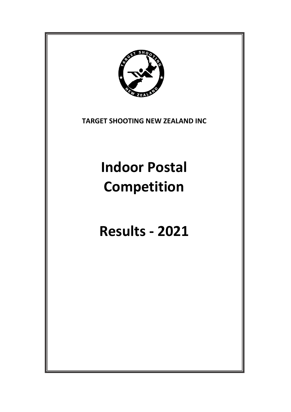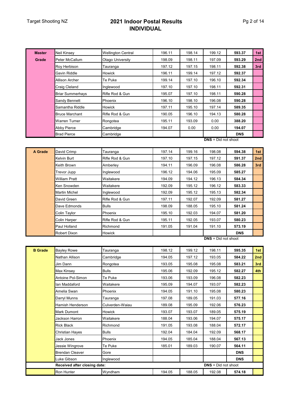#### Target Shooting NZ **2021 Indoor Postal Results INDIVIDUAL**

| <b>Master</b>  | Neil Kinsey             | <b>Wellington Central</b> | 196.11 | 198.14 | 199.12                     | 593.37     | 1st |
|----------------|-------------------------|---------------------------|--------|--------|----------------------------|------------|-----|
| Grade          | Peter McCallum          | Otago University          | 198.09 | 198.11 | 197.09                     | 593.29     | 2nd |
|                | Roy Herbison            | Tauranga                  | 197.12 | 197.15 | 198.11                     | 592.38     | 3rd |
|                | Gavin Riddle            | <b>Howick</b>             | 196.11 | 199.14 | 197.12                     | 592.37     |     |
|                | Allison Archer          | Te Puke                   | 199.14 | 197.10 | 196.10                     | 592.34     |     |
|                | Craig Cleland           | Inglewood                 | 197.10 | 197.10 | 198.11                     | 592.31     |     |
|                | <b>Briar Summerhays</b> | Rifle Rod & Gun           | 195.07 | 197.10 | 198.11                     | 590.28     |     |
|                | Sandy Bennett           | Phoenix                   | 196.10 | 198.10 | 196.08                     | 590.28     |     |
|                | Samantha Riddle         | Howick                    | 197.11 | 195.10 | 197.14                     | 589.35     |     |
|                | <b>Bruce Marchant</b>   | Rifle Rod & Gun           | 190.05 | 196.10 | 194.13                     | 580.28     |     |
|                | Warren Turner           | Rongotea                  | 195.11 | 193.09 | 0.00                       | 388.20     |     |
|                | Abby Pierce             | Cambridge                 | 194.07 | 0.00   | 0.00                       | 194.07     |     |
|                | <b>Brad Pierce</b>      | Cambridge                 |        |        |                            | <b>DNS</b> |     |
|                |                         |                           |        |        | <b>DNS</b> = Did not shoot |            |     |
|                |                         |                           |        |        |                            |            |     |
| A Grade        | David Crimp             | Tauranga                  | 197.14 | 199.16 | 198.08                     | 594.38     | 1st |
|                | Kelvin Burt             | Rifle Rod & Gun           | 197.10 | 197.15 | 197.12                     | 591.37     | 2nd |
|                | Keith Brown             | Amberley                  | 194.11 | 196.09 | 196.08                     | 586.28     | 3rd |
|                | Trevor Jupp             | Inglewood                 | 196.12 | 194.06 | 195.09                     | 585.27     |     |
|                | <b>William Pratt</b>    | Waitakere                 | 194.09 | 194.12 | 196.13                     | 584.34     |     |
|                | Ken Snowden             | Waitakere                 | 192.09 | 195.12 | 196.12                     | 583.33     |     |
|                | Martin Michel           | Inglewood                 | 192.09 | 195.12 | 195.13                     | 582.34     |     |
|                | David Green             | Rifle Rod & Gun           | 197.11 | 192.07 | 192.09                     | 581.27     |     |
|                | Dave Edmonds            | <b>Bulls</b>              | 198.09 | 188.05 | 195.10                     | 581.24     |     |
|                | Colin Taylor            | Phoenix                   | 195.10 | 192.03 | 194.07                     | 581.20     |     |
|                | <b>Colin Harper</b>     | Rifle Rod & Gun           | 195.11 | 192.05 | 193.07                     | 580.23     |     |
|                | Paul Holland            | Richmond                  | 191.05 | 191.04 | 191.10                     | 573.19     |     |
|                | Robert Dixon            | Howick                    |        |        |                            | <b>DNS</b> |     |
|                |                         |                           |        |        | $DNS = Did not shoot$      |            |     |
| <b>B</b> Grade | <b>Bayley Rowe</b>      | Tauranga                  | 198.12 | 199.12 | 198.11                     | 595.35     | 1st |
|                | Nathan Allison          | Cambridge                 | 194.05 | 197.12 | 193.05                     | 584.22     | 2nd |
|                | Jim Dann                | Rongotea                  | 193.05 | 195.08 | 195.08                     | 583.21     | 3rd |
|                | Max Kinsey              | <b>Bulls</b>              | 195.06 | 192.09 | 195.12                     | 582.27     | 4th |

Max Kinsey Bulls 195.06 192.09 195.12 **582.27 4th** Antoine Pol-Simon Te Puke 193.06 193.09 196.08 **582.23** Ian Maddaford Waitakere 195.09 194.07 193.07 **582.23** Amelia Swan Phoenix 194.05 191.10 195.08 **580.23** Darryl Munns Tauranga 197.08 189.05 191.03 **577.16** Hamish Henderson Culverden-Waiau 189.08 195.09 192.06 **576.23** Mark Dumont Howick 193.07 193.07 189.05 **575.19** Jackson Harron Waitakere 188.04 193.06 194.07 **575.17** Rick Black Richmond 191.05 193.08 188.04 **572.17** Christian Hayes Bulls 192.04 184.04 192.09 **568.17** Jack Jones Phoenix 194.05 185.04 188.04 **567.13** Jessie Wingrove Te Puke 185.01 189.03 190.07 **564.11** Brendan Cleaver **Gore Gore DNS** Luke Gibson **Inglewood Inglewood DNS Received after closing date: DNS** = Did not shoot Ron Hunter Wyndham 194.05 188.05 192.08 **574.18**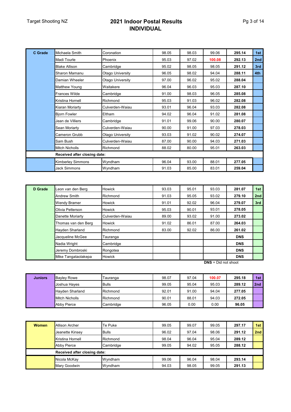## Target Shooting NZ **2021 Indoor Postal Results INDIVIDUAL**

| C Grade | Michaela Smith               | Coronation       | 98.05 | 98.03 | 99.06  | 295.14 | 1st |
|---------|------------------------------|------------------|-------|-------|--------|--------|-----|
|         | <b>Madi Tourle</b>           | Phoenix          | 95.03 | 97.02 | 100.08 | 292.13 | 2nd |
|         | <b>Blake Allison</b>         | Cambridge        | 95.02 | 98.05 | 98.05  | 291.12 | 3rd |
|         | Sharon Mamanu                | Otago University | 96.05 | 98.02 | 94.04  | 288.11 | 4th |
|         | Damian Wheeler               | Otago University | 97.00 | 96.02 | 95.02  | 288.04 |     |
|         | <b>Matthew Young</b>         | Waitakere        | 96.04 | 96.03 | 95.03  | 287.10 |     |
|         | <b>Frances Wilde</b>         | Cambridge        | 91.00 | 98.03 | 96.05  | 285.08 |     |
|         | Kristina Hornell             | Richmond         | 95.03 | 91.03 | 96.02  | 282.08 |     |
|         | Kiaran Moriarty              | Culverden-Waiau  | 93.01 | 96.04 | 93.03  | 282.08 |     |
|         | <b>Bjorn Fowler</b>          | Eltham           | 94.02 | 96.04 | 91.02  | 281.08 |     |
|         | Jean de Villiers             | Cambridge        | 91.01 | 99.06 | 90.00  | 280.07 |     |
|         | Sean Moriarty                | Culverden-Waiau  | 90.00 | 91.00 | 97.03  | 278.03 |     |
|         | Cameron Grubb                | Otago University | 93.03 | 91.02 | 90.02  | 274.07 |     |
|         | Sam Bush                     | Culverden-Waiau  | 87.00 | 90.00 | 94.03  | 271.03 |     |
|         | <b>Mitch Nicholls</b>        | Richmond         | 88.02 | 80.00 | 95.01  | 263.03 |     |
|         | Received after closing date: |                  |       |       |        |        |     |
|         | <b>Kimberley Simmons</b>     | Wyndham          | 96.04 | 93.00 | 88.01  | 277.05 |     |
|         | Jack Simmons                 | Wyndham          | 91.03 | 85.00 | 83.01  | 259.04 |     |

| D Grade | Leon van den Berg                   | <b>Howick</b> | 93.03 | 95.01 | 93.03 | 281.07     | 1st |
|---------|-------------------------------------|---------------|-------|-------|-------|------------|-----|
|         | <b>Andrew Smith</b>                 | Richmond      | 91.03 | 95.05 | 93.02 | 279.10     | 2nd |
|         | Wendy Bramer                        | <b>Howick</b> | 91.01 | 92.02 | 96.04 | 279.07     | 3rd |
|         | Olivia Petterson<br><b>Howick</b>   |               | 95.03 | 90.01 | 93.01 | 278.05     |     |
|         | Danette Moriarty<br>Culverden-Waiau |               | 89.00 | 93.02 | 91.00 | 273.02     |     |
|         | Thomas van den Berg                 | <b>Howick</b> | 91.02 | 86.01 | 87.00 | 264.03     |     |
|         | <b>Hayden Sharland</b>              | Richmond      | 83.00 | 92.02 | 86.00 | 261.02     |     |
|         | Jacqueline McGee                    | Tauranga      |       |       |       | <b>DNS</b> |     |
|         | Nadia Wright                        | Cambridge     |       |       |       | <b>DNS</b> |     |
|         | Jeremy Dombroski                    | Rongotea      |       |       |       | <b>DNS</b> |     |
|         | Mike Tangataolakepa                 | <b>Howick</b> |       |       |       | <b>DNS</b> |     |

**DNS** = Did not shoot

| <b>Juniors</b> | <b>Bayley Rowe</b>    | Tauranga     | 98.07 | 97.04 | 100.07 | 295.18 | 1st             |
|----------------|-----------------------|--------------|-------|-------|--------|--------|-----------------|
|                | <b>Joshua Haves</b>   | <b>Bulls</b> | 99.05 | 95.04 | 95.03  | 289.12 | 2 <sub>nd</sub> |
|                | Havden Sharland       | Richmond     | 92.01 | 91.00 | 94.04  | 277.05 |                 |
|                | <b>Mitch Nicholls</b> | Richmond     | 90.01 | 88.01 | 94.03  | 272.05 |                 |
|                | Abby Pierce           | Cambridge    | 96.05 | 0.00  | 0.00   | 96.05  |                 |

| <b>Women</b> | Allison Archer               | Te Puke      | 99.05 | 99.07 | 99.05 | 297.17 | 1st |
|--------------|------------------------------|--------------|-------|-------|-------|--------|-----|
|              | Jeanette Kinsey              | <b>Bulls</b> | 96.02 | 97.04 | 98.06 | 291.12 | 2nd |
|              | Kristina Hornell             | Richmond     | 98.04 | 96.04 | 95.04 | 289.12 |     |
|              | <b>Abby Pierce</b>           | Cambridge    | 99.05 | 94.02 | 95.05 | 288.12 |     |
|              | Received after closing date: |              |       |       |       |        |     |
|              | Nicola McKay                 | Wyndham      | 99.06 | 96.04 | 98.04 | 293.14 |     |
|              | Mary Goodwin                 | Wyndham      | 94.03 | 98.05 | 99.05 | 291.13 |     |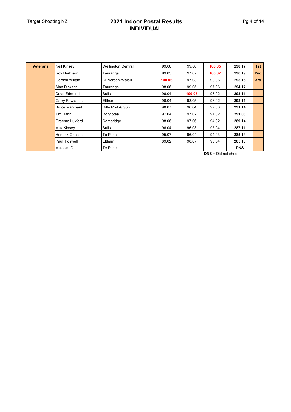## Target Shooting NZ **2021 Indoor Postal Results INDIVIDUAL**

| <b>Veterans</b> | Neil Kinsey             | <b>Wellington Central</b> | 99.06  | 99.06  | 100.05 | 298.17     | 1st             |
|-----------------|-------------------------|---------------------------|--------|--------|--------|------------|-----------------|
|                 | Roy Herbison            | Tauranga                  | 99.05  | 97.07  | 100.07 | 296.19     | 2 <sub>nd</sub> |
|                 | Gordon Wright           | Culverden-Waiau           | 100.06 | 97.03  | 98.06  | 295.15     | 3rd             |
|                 | Alan Dickson            | Tauranga                  | 98.06  | 99.05  | 97.06  | 294.17     |                 |
|                 | Dave Edmonds            | <b>Bulls</b>              | 96.04  | 100.05 | 97.02  | 293.11     |                 |
|                 | <b>Garry Rowlands</b>   | Eltham                    | 96.04  | 98.05  | 98.02  | 292.11     |                 |
|                 | <b>Bruce Marchant</b>   | Rifle Rod & Gun           | 98.07  | 96.04  | 97.03  | 291.14     |                 |
|                 | Jim Dann                | Rongotea                  | 97.04  | 97.02  | 97.02  | 291.08     |                 |
|                 | Graeme Luxford          | Cambridge                 | 98.06  | 97.06  | 94.02  | 289.14     |                 |
|                 | Max Kinsey              | <b>Bulls</b>              | 96.04  | 96.03  | 95.04  | 287.11     |                 |
|                 | <b>Hendrik Griessel</b> | Te Puke                   | 95.07  | 96.04  | 94.03  | 285.14     |                 |
|                 | <b>Paul Tidswell</b>    | Eltham                    | 89.02  | 98.07  | 98.04  | 285.13     |                 |
|                 | <b>Malcolm Duthie</b>   | Te Puke                   |        |        |        | <b>DNS</b> |                 |

**DNS** = Did not shoot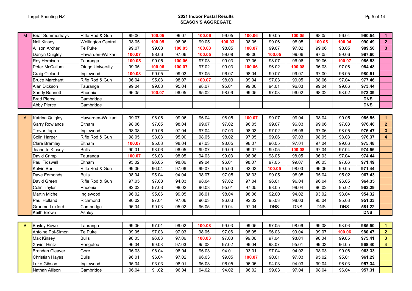#### Target Shooting NZ **2021 Indoor Postal Results SEASON'S AGGREGATE**

| M | <b>Briar Summerhays</b> | Rifle Rod & Gun           | 99.06  | 100.05 | 99.07  | 100.06 | 99.05  | 100.06 | 99.05      | 100.05     | 98.05      | 96.04      | 990.54     | $\blacktriangleleft$    |
|---|-------------------------|---------------------------|--------|--------|--------|--------|--------|--------|------------|------------|------------|------------|------------|-------------------------|
|   | <b>Veil Kinsey</b>      | <b>Wellington Central</b> | 98.05  | 100.05 | 98.06  | 99.05  | 100.03 | 98.05  | 99.06      | 98.05      | 100.05     | 100.04     | 990.49     | $\mathbf{2}$            |
|   | Allison Archer          | Te Puke                   | 99.07  | 99.03  | 100.05 | 100.03 | 98.05  | 100.07 | 99.07      | 97.02      | 99.06      | 98.05      | 989.50     | $3\phantom{a}$          |
|   | Darryn Quigley          | Hawarden-Waikari          | 100.07 | 98.06  | 97.06  | 100.05 | 99.08  | 98.06  | 100.05     | 99.06      | 97.05      | 99.06      | 987.60     |                         |
|   | Roy Herbison            | Tauranga                  | 100.05 | 99.05  | 100.06 | 97.03  | 99.03  | 97.05  | 98.07      | 96.06      | 99.06      | 100.07     | 985.53     |                         |
|   | Peter McCallum          | <b>Otago University</b>   | 99.05  | 100.06 | 100.07 | 97.02  | 99.03  | 100.06 | 96.02      | 100.08     | 96.03      | 97.06      | 984.48     |                         |
|   | Craig Cleland           | Inglewood                 | 100.08 | 99.05  | 99.03  | 97.05  | 96.07  | 98.04  | 99.07      | 99.07      | 97.00      | 96.05      | 980.51     |                         |
|   | <b>Bruce Marchant</b>   | Rifle Rod & Gun           | 96.04  | 95.03  | 98.07  | 100.07 | 98.03  | 99.04  | 97.03      | 99.05      | 98.06      | 97.04      | 977.46     |                         |
|   | Alan Dickson            | Tauranga                  | 99.04  | 99.08  | 95.04  | 98.07  | 95.01  | 99.06  | 94.01      | 96.03      | 99.04      | 99.06      | 973.44     |                         |
|   | Sandy Bennett           | Phoenix                   | 96.05  | 100.07 | 96.05  | 95.02  | 98.06  | 99.05  | 97.03      | 96.02      | 98.02      | 98.02      | 973.39     |                         |
|   | <b>Brad Pierce</b>      | Cambridge                 |        |        |        |        |        |        |            |            |            |            | <b>DNS</b> |                         |
|   | Abby Pierce             | Cambridge                 |        |        |        |        |        |        |            |            |            |            | <b>DNS</b> |                         |
|   |                         |                           |        |        |        |        |        |        |            |            |            |            |            |                         |
| A | Katrina Quigley         | Hawarden-Waikari          | 99.07  | 98.06  | 99.06  | 96.04  | 98.05  | 100.07 | 99.07      | 99.04      | 98.04      | 99.05      | 985.55     |                         |
|   | Garry Rowlands          | Eltham                    | 98.06  | 97.05  | 98.04  | 99.07  | 97.02  | 96.05  | 99.07      | 96.03      | 99.06      | 97.03      | 976.48     | $\overline{2}$          |
|   | Trevor Jupp             | Inglewood                 | 98.08  | 99.06  | 97.04  | 97.04  | 97.03  | 98.03  | 97.02      | 98.06      | 97.06      | 98.05      | 976.47     | $\mathbf{3}$            |
|   | Colin Harper            | Rifle Rod & Gun           | 98.05  | 98.03  | 95.00  | 98.05  | 98.02  | 97.05  | 99.06      | 97.03      | 98.05      | 98.03      | 976.37     | $\overline{\mathbf{4}}$ |
|   | Clare Bramley           | Eltham                    | 100.07 | 95.03  | 98.04  | 97.03  | 98.05  | 98.07  | 96.05      | 97.04      | 97.04      | 99.06      | 975.48     |                         |
|   | Jeanette Kinsey         | <b>Bulls</b>              | 90.01  | 98.06  | 96.05  | 99.07  | 99.09  | 99.07  | 99.05      | 100.08     | 97.04      | 97.04      | 974.56     |                         |
|   | David Crimp             | Tauranga                  | 100.07 | 96.03  | 98.05  | 94.03  | 99.03  | 98.06  | 98.05      | 98.05      | 96.03      | 97.04      | 974.44     |                         |
|   | Paul Tidswell           | Eltham                    | 95.02  | 96.05  | 98.06  | 99.04  | 96.04  | 98.07  | 97.05      | 99.07      | 96.03      | 97.06      | 971.49     |                         |
|   | Kelvin Burt             | Rifle Rod & Gun           | 99.06  | 96.04  | 97.06  | 99.07  | 95.00  | 92.02  | 100.05     | 98.03      | 96.06      | 99.05      | 971.44     |                         |
|   | Dave Edmonds            | <b>Bulls</b>              | 98.04  | 95.04  | 94.04  | 98.07  | 97.05  | 98.03  | 99.05      | 98.05      | 95.04      | 95.02      | 967.43     |                         |
|   | David Green             | Rifle Rod & Gun           | 97.05  | 97.03  | 94.03  | 98.04  | 97.02  | 97.04  | 96.01      | 96.04      | 96.04      | 96.05      | 964.35     |                         |
|   | Colin Taylor            | Phoenix                   | 92.02  | 97.03  | 98.02  | 96.03  | 95.01  | 97.05  | 98.05      | 99.04      | 96.02      | 95.02      | 963.29     |                         |
|   | Martin Michel           | Inglewood                 | 96.02  | 95.06  | 99.05  | 96.01  | 98.04  | 98.06  | 92.00      | 94.02      | 93.02      | 93.04      | 954.32     |                         |
|   | Paul Holland            | Richmond                  | 90.02  | 97.04  | 97.06  | 96.03  | 96.03  | 92.02  | 95.03      | 98.03      | 95.04      | 95.03      | 951.33     |                         |
|   | Graeme Luxford          | Cambridge                 | 95.04  | 99.03  | 95.02  | 96.05  | 99.04  | 97.04  | <b>DNS</b> | <b>DNS</b> | <b>DNS</b> | <b>DNS</b> | 581.22     |                         |
|   | Keith Brown             | Ashley                    |        |        |        |        |        |        |            |            |            |            | <b>DNS</b> |                         |
|   |                         |                           |        |        |        |        |        |        |            |            |            |            |            |                         |
| B | <b>Bayley Rowe</b>      | Tauranga                  | 99.06  | 97.01  | 99.02  | 100.08 | 99.03  | 99.05  | 97.05      | 98.06      | 99.08      | 98.06      | 985.50     | $\blacktriangleleft$    |
|   | Antoine Pol-Simon       | Te Puke                   | 99.05  | 97.03  | 97.03  | 98.05  | 97.06  | 98.05  | 96.03      | 99.04      | 99.07      | 100.06     | 980.47     | $\overline{2}$          |
|   | Max Kinsey              | <b>Bulls</b>              | 96.03  | 96.03  | 97.06  | 100.03 | 97.03  | 99.06  | 97.04      | 98.04      | 96.04      | 99.05      | 975.41     | $\mathbf{3}$            |
|   | Kavier Hintz            | Rongotea                  | 96.04  | 99.08  | 97.03  | 95.03  | 97.02  | 96.04  | 98.07      | 95.01      | 99.03      | 96.05      | 968.40     | $\overline{\mathbf{4}}$ |
|   | <b>Brendan Cleaver</b>  | Gore                      | 96.03  | 98.04  | 98.04  | 96.03  | 94.01  | 93.01  | 97.04      | 94.02      | 98.03      | 99.08      | 963.33     |                         |
|   | Christian Hayes         | <b>Bulls</b>              | 96.01  | 96.04  | 97.02  | 96.03  | 99.05  | 100.07 | 90.01      | 97.03      | 95.02      | 95.01      | 961.29     |                         |
|   | Luke Gibson             | Inglewood                 | 95.04  | 93.03  | 98.01  | 96.03  | 96.05  | 96.05  | 94.03      | 94.03      | 99.04      | 96.03      | 957.34     |                         |
|   | Nathan Allison          | Cambridge                 | 96.04  | 91.02  | 96.04  | 94.02  | 94.02  | 96.02  | 99.03      | 97.04      | 98.04      | 96.04      | 957.31     |                         |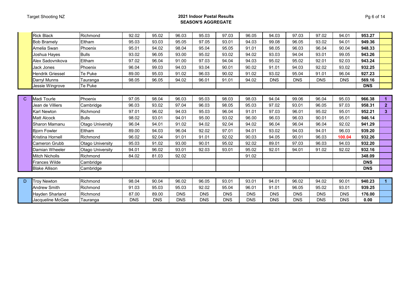#### Target Shooting NZ **2021 Indoor Postal Results SEASON'S AGGREGATE**

|             | <b>Rick Black</b>     | Richmond         | 92.02      | 95.02      | 96.03      | 95.03      | 97.03      | 96.05      | 94.03      | 97.03      | 97.02      | 94.01      | 953.27     |                         |
|-------------|-----------------------|------------------|------------|------------|------------|------------|------------|------------|------------|------------|------------|------------|------------|-------------------------|
|             | <b>Bob Bramely</b>    | Eltham           | 95.03      | 93.03      | 95.05      | 97.05      | 93.01      | 94.03      | 99.08      | 96.05      | 93.02      | 94.01      | 949.36     |                         |
|             | Amelia Swan           | Phoenix          | 95.01      | 94.02      | 98.04      | 95.04      | 95.05      | 91.01      | 98.05      | 96.03      | 96.04      | 90.04      | 948.33     |                         |
|             | Joshua Hayes          | <b>Bulls</b>     | 93.02      | 96.05      | 93.00      | 95.02      | 93.02      | 94.02      | 93.03      | 94.04      | 93.01      | 99.05      | 943.26     |                         |
|             | Alex Sadovnikova      | Eltham           | 97.02      | 96.04      | 91.00      | 97.03      | 94.04      | 94.03      | 95.02      | 95.02      | 92.01      | 92.03      | 943.24     |                         |
|             | Jack Jones            | Phoenix          | 96.04      | 99.03      | 94.03      | 93.04      | 90.01      | 90.02      | 91.01      | 94.03      | 92.02      | 93.02      | 932.25     |                         |
|             | Hendrik Griessel      | Te Puke          | 89.00      | 95.03      | 91.02      | 96.03      | 90.02      | 91.02      | 93.02      | 95.04      | 91.01      | 96.04      | 927.23     |                         |
|             | Darryl Munns          | Tauranga         | 98.05      | 96.05      | 94.02      | 96.01      | 91.01      | 94.02      | <b>DNS</b> | <b>DNS</b> | <b>DNS</b> | <b>DNS</b> | 569.16     |                         |
|             | Jessie Wingrove       | Te Puke          |            |            |            |            |            |            |            |            |            |            | <b>DNS</b> |                         |
|             |                       |                  |            |            |            |            |            |            |            |            |            |            |            |                         |
| $\mathbf C$ | Madi Tourle           | Phoenix          | 97.05      | 98.04      | 96.03      | 95.03      | 98.03      | 98.03      | 94.04      | 99.06      | 96.04      | 95.03      | 966.38     |                         |
|             | Jean de Villiers      | Cambridge        | 96.03      | 93.02      | 97.04      | 96.03      | 98.05      | 95.03      | 97.02      | 93.01      | 96.05      | 97.03      | 958.31     | 2 <sup>1</sup>          |
|             | <b>Karl Newton</b>    | Richmond         | 97.01      | 96.02      | 94.03      | 95.03      | 96.04      | 91.01      | 97.03      | 96.01      | 95.02      | 95.01      | 952.21     | $\overline{\mathbf{3}}$ |
|             | <b>Matt Alcock</b>    | <b>Bulls</b>     | 98.02      | 93.01      | 94.01      | 95.00      | 93.02      | 96.00      | 96.03      | 96.03      | 90.01      | 95.01      | 946.14     |                         |
|             | Sharon Mamanu         | Otago University | 96.04      | 94.01      | 91.02      | 94.02      | 92.04      | 94.02      | 96.04      | 96.04      | 96.04      | 92.02      | 941.29     |                         |
|             | <b>Biorn Fowler</b>   | Eltham           | 89.00      | 94.03      | 96.04      | 92.02      | 97.01      | 94.01      | 93.02      | 94.03      | 94.01      | 96.03      | 939.20     |                         |
|             | Kristina Hornell      | Richmond         | 96.02      | 92.04      | 91.01      | 91.01      | 92.02      | 90.03      | 94.05      | 90.01      | 96.03      | 100.04     | 932.26     |                         |
|             | Cameron Grubb         | Otago University | 95.03      | 91.02      | 93.00      | 90.01      | 95.02      | 92.02      | 89.01      | 97.03      | 96.03      | 94.03      | 932.20     |                         |
|             | Damian Wheeler        | Otago University | 94.01      | 96.02      | 93.01      | 92.03      | 93.01      | 95.02      | 92.01      | 94.01      | 91.02      | 92.02      | 932.16     |                         |
|             | <b>Mitch Nicholls</b> | Richmond         | 84.02      | 81.03      | 92.02      |            |            | 91.02      |            |            |            |            | 348.09     |                         |
|             | Frances Wilde         | Cambridge        |            |            |            |            |            |            |            |            |            |            | <b>DNS</b> |                         |
|             | <b>Blake Allison</b>  | Cambridge        |            |            |            |            |            |            |            |            |            |            | <b>DNS</b> |                         |
|             |                       |                  |            |            |            |            |            |            |            |            |            |            |            |                         |
| D           | <b>Troy Newton</b>    | Richmond         | 98.04      | 90.04      | 96.02      | 96.05      | 93.01      | 93.01      | 94.01      | 96.02      | 94.02      | 90.01      | 940.23     | $\mathbf{1}$            |
|             | <b>Andrew Smith</b>   | Richmond         | 91.03      | 95.03      | 95.03      | 92.02      | 95.04      | 96.01      | 91.01      | 96.05      | 95.02      | 93.01      | 939.25     |                         |
|             | Hayden Sharland       | Richmond         | 87.00      | 89.00      | <b>DNS</b> | <b>DNS</b> | <b>DNS</b> | <b>DNS</b> | <b>DNS</b> | <b>DNS</b> | <b>DNS</b> | <b>DNS</b> | 176.00     |                         |
|             | Jacqueline McGee      | Tauranga         | <b>DNS</b> | <b>DNS</b> | <b>DNS</b> | <b>DNS</b> | <b>DNS</b> | <b>DNS</b> | <b>DNS</b> | <b>DNS</b> | <b>DNS</b> | <b>DNS</b> | 0.00       |                         |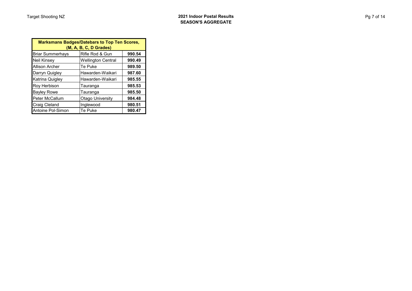|  | ∩t ⊺ | ∕ |
|--|------|---|
|--|------|---|

| <b>Marksmans Badges/Datebars to Top Ten Scores,</b><br>(M, A, B, C, D Grades) |                           |        |  |  |  |  |  |
|-------------------------------------------------------------------------------|---------------------------|--------|--|--|--|--|--|
| <b>Briar Summerhays</b>                                                       | Rifle Rod & Gun           | 990.54 |  |  |  |  |  |
| <b>Neil Kinsey</b>                                                            | <b>Wellington Central</b> | 990.49 |  |  |  |  |  |
| <b>Allison Archer</b>                                                         | Te Puke                   | 989.50 |  |  |  |  |  |
| Darryn Quigley                                                                | Hawarden-Waikari          | 987.60 |  |  |  |  |  |
| Katrina Quigley                                                               | Hawarden-Waikari          | 985.55 |  |  |  |  |  |
| Roy Herbison                                                                  | Tauranga                  | 985.53 |  |  |  |  |  |
| <b>Bayley Rowe</b>                                                            | Tauranga                  | 985.50 |  |  |  |  |  |
| Peter McCallum                                                                | <b>Otago University</b>   | 984.48 |  |  |  |  |  |
| <b>Craig Cleland</b>                                                          | Inglewood                 | 980.51 |  |  |  |  |  |
| Antoine Pol-Simon                                                             | Te Puke                   | 980.47 |  |  |  |  |  |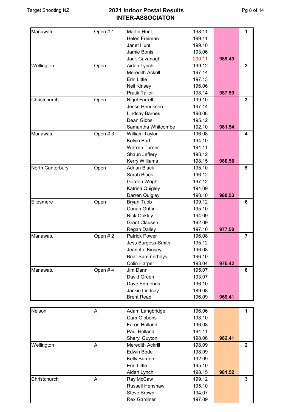| Manawatu         | Open #1 | <b>Martin Hunt</b>      | 198.11 |        | 1                       |
|------------------|---------|-------------------------|--------|--------|-------------------------|
|                  |         | Helen Freiman           | 199.11 |        |                         |
|                  |         | Janet Hunt              | 199.10 |        |                         |
|                  |         | Jamie Bonis             | 193.06 |        |                         |
|                  |         | Jack Cavanagh           | 200.11 | 989.49 |                         |
| Wellington       | Open    | Aidan Lynch             | 199.12 |        | $\overline{2}$          |
|                  |         | <b>Meredith Ackrill</b> | 197.14 |        |                         |
|                  |         | <b>Erin Little</b>      | 197.13 |        |                         |
|                  |         | <b>Neil Kinsey</b>      | 196.06 |        |                         |
|                  |         | <b>Pratik Tailor</b>    | 198.14 | 987.59 |                         |
| Christchurch     | Open    | <b>Nigel Farrell</b>    | 199.10 |        | 3                       |
|                  |         | Jesse Henriksen         | 197.14 |        |                         |
|                  |         | <b>Lindsay Barnes</b>   | 198.08 |        |                         |
|                  |         | Dean Gibbs              | 195.12 |        |                         |
|                  |         | Samantha Whitcombe      | 192.10 | 981.54 |                         |
| Manawatu         | Open #3 | William Taylor          | 196.08 |        | 4                       |
|                  |         | Kelvin Burt             | 194.10 |        |                         |
|                  |         | <b>Warren Turner</b>    | 194.11 |        |                         |
|                  |         | Shaun Jeffery           | 198.12 |        |                         |
|                  |         | <b>Kerry Williams</b>   | 198.15 | 980.56 |                         |
|                  |         | <b>Adrian Black</b>     |        |        |                         |
| North Canterbury | Open    |                         | 195.10 |        | 5                       |
|                  |         | Sarah Black             | 196.12 |        |                         |
|                  |         | Gordon Wright           | 197.12 |        |                         |
|                  |         | Katrina Quigley         | 194.09 |        |                         |
|                  |         | Darren Quigley          | 198.10 | 980.53 |                         |
| Ellesmere        | Open    | <b>Bryan Tubb</b>       | 199.12 |        | 6                       |
|                  |         | Conan Griffin           | 195.10 |        |                         |
|                  |         | Nick Oakley             | 194.09 |        |                         |
|                  |         | <b>Grant Clausen</b>    | 192.09 |        |                         |
|                  |         | <b>Regan Dalley</b>     | 197.10 | 977.50 |                         |
| Manawatu         | Open #2 | <b>Patrick Power</b>    | 196.08 |        | $\overline{\mathbf{7}}$ |
|                  |         | Jess Burgess-Smith      | 195.12 |        |                         |
|                  |         | Jeanette Kinsey         | 196.08 |        |                         |
|                  |         | <b>Briar Summerhays</b> | 196.10 |        |                         |
|                  |         | <b>Colin Harper</b>     | 193.04 | 976.42 |                         |
| Manawatu         | Open #4 | Jim Dann                | 195.07 |        | 8                       |
|                  |         | David Green             | 193.07 |        |                         |
|                  |         | Dave Edmonds            | 196.10 |        |                         |
|                  |         | Jackie Lindsay          | 189.08 |        |                         |
|                  |         | <b>Brent Read</b>       | 196.09 | 969.41 |                         |
|                  |         |                         |        |        |                         |
| Nelson           | A       | Adam Langbridge         | 196.06 |        | 1                       |
|                  |         | Cam Gibbons             | 198.10 |        |                         |
|                  |         | Faron Holland           | 196.08 |        |                         |
|                  |         | Paul Holland            | 194.11 |        |                         |
|                  |         | Sheryl Guyton           | 198.06 | 982.41 |                         |
| Wellington       | A       | <b>Meredith Ackrill</b> | 198.09 |        | $\mathbf{2}$            |
|                  |         | <b>Edwin Bode</b>       | 198.09 |        |                         |
|                  |         | Kelly Burdon            | 192.09 |        |                         |
|                  |         | <b>Erin Little</b>      | 195.10 |        |                         |
|                  |         | Aidan Lynch             | 198.15 | 981.52 |                         |
| Christchurch     | A       | Ray McCaw               | 199.12 |        | 3                       |
|                  |         | Russell Henshaw         | 195.10 |        |                         |
|                  |         | Steve Brown             | 194.07 |        |                         |
|                  |         | <b>Rex Gardiner</b>     | 197.09 |        |                         |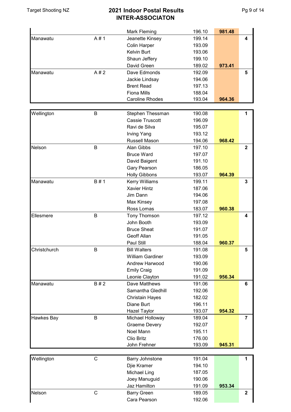|                   |             | <b>Mark Fleming</b>     | 196.10 | 981.48 |                |
|-------------------|-------------|-------------------------|--------|--------|----------------|
| Manawatu          | A#1         | Jeanette Kinsey         | 199.14 |        | 4              |
|                   |             | <b>Colin Harper</b>     | 193.09 |        |                |
|                   |             | Kelvin Burt             | 193.06 |        |                |
|                   |             | Shaun Jeffery           | 199.10 |        |                |
|                   |             | David Green             | 189.02 | 973.41 |                |
| Manawatu          | A#2         | Dave Edmonds            | 192.09 |        | 5              |
|                   |             | Jackie Lindsay          | 194.06 |        |                |
|                   |             | <b>Brent Read</b>       | 197.13 |        |                |
|                   |             | <b>Fiona Mills</b>      | 188.04 |        |                |
|                   |             | <b>Caroline Rhodes</b>  | 193.04 | 964.36 |                |
|                   |             |                         |        |        |                |
| Wellington        | B           | Stephen Thessman        | 190.08 |        | 1              |
|                   |             | <b>Cassie Truscott</b>  | 196.09 |        |                |
|                   |             | Ravi de Silva           | 195.07 |        |                |
|                   |             | <b>Irving Yang</b>      | 193.12 |        |                |
|                   |             | Russell Mason           | 194.06 | 968.42 |                |
| Nelson            | B           | Alan Gibbs              | 197.10 |        | $\overline{2}$ |
|                   |             | <b>Bruce Ward</b>       | 197.07 |        |                |
|                   |             | David Baigent           | 191.10 |        |                |
|                   |             | Gary Pearson            | 186.05 |        |                |
|                   |             | <b>Holly Gibbons</b>    | 193.07 | 964.39 |                |
| Manawatu          | B # 1       | Kerry Williams          | 199.11 |        | 3              |
|                   |             | <b>Xavier Hintz</b>     | 187.06 |        |                |
|                   |             | Jim Dann                | 194.06 |        |                |
|                   |             |                         | 197.08 |        |                |
|                   |             | Max Kinsey              |        |        |                |
|                   |             | Ross Lomas              | 183.07 | 960.38 |                |
| Ellesmere         | B           | Tony Thomson            | 197.12 |        | 4              |
|                   |             | John Booth              | 193.09 |        |                |
|                   |             | <b>Bruce Sheat</b>      | 191.07 |        |                |
|                   |             | <b>Geoff Allan</b>      | 191.05 |        |                |
|                   |             | Paul Still              | 188.04 | 960.37 |                |
| Christchurch      | B           | <b>Bill Walters</b>     | 191.08 |        | 5              |
|                   |             | <b>William Gardiner</b> | 193.09 |        |                |
|                   |             | Andrew Harwood          | 190.06 |        |                |
|                   |             | <b>Emily Craig</b>      | 191.09 |        |                |
|                   |             | Leonie Clayton          | 191.02 | 956.34 |                |
| Manawatu          | B#2         | Dave Matthews           | 191.06 |        | 6              |
|                   |             | Samantha Gledhill       | 192.06 |        |                |
|                   |             | <b>Christain Hayes</b>  | 182.02 |        |                |
|                   |             | Diane Burt              | 196.11 |        |                |
|                   |             | <b>Hazel Taylor</b>     | 193.07 | 954.32 |                |
| <b>Hawkes Bay</b> | B           | Michael Holloway        | 189.04 |        | $\overline{7}$ |
|                   |             | <b>Graeme Devery</b>    | 192.07 |        |                |
|                   |             | Noel Mann               | 195.11 |        |                |
|                   |             | Clio Britz              | 176.00 |        |                |
|                   |             | John Frehner            | 193.09 | 945.31 |                |
|                   |             |                         |        |        |                |
| Wellington        | $\mathsf C$ | <b>Barry Johnstone</b>  | 191.04 |        | 1              |
|                   |             | Djie Kramer             | 194.10 |        |                |
|                   |             | Michael Ling            | 187.05 |        |                |
|                   |             | Joey Manuguid           | 190.06 |        |                |
|                   |             | Jaz Hamilton            | 191.09 | 953.34 |                |
| Nelson            | $\mathsf C$ | <b>Barry Green</b>      | 189.05 |        | $\mathbf 2$    |
|                   |             | Cara Pearson            | 192.06 |        |                |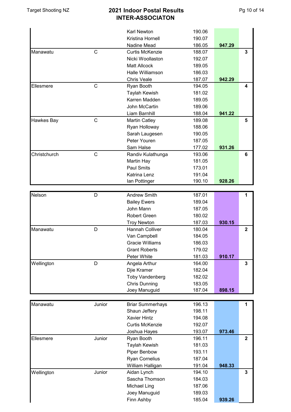|              |              | Karl Newton             | 190.06 |        |                         |
|--------------|--------------|-------------------------|--------|--------|-------------------------|
|              |              | <b>Kristina Hornell</b> | 190.07 |        |                         |
|              |              | Nadine Mead             | 186.05 | 947.29 |                         |
| Manawatu     | $\mathsf{C}$ | <b>Curtis McKenzie</b>  | 188.07 |        | 3                       |
|              |              | Nicki Woollaston        | 192.07 |        |                         |
|              |              | <b>Matt Allcock</b>     | 189.05 |        |                         |
|              |              | Halle Williamson        | 186.03 |        |                         |
|              |              | <b>Chris Veale</b>      | 187.07 | 942.29 |                         |
| Ellesmere    | $\mathsf{C}$ | Ryan Booth              | 194.05 |        | 4                       |
|              |              | Taylah Kewish           | 181.02 |        |                         |
|              |              | Karren Madden           | 189.05 |        |                         |
|              |              | John McCartin           | 189.06 |        |                         |
|              |              | Liam Barnhill           | 188.04 | 941.22 |                         |
| Hawkes Bay   | $\mathsf{C}$ | <b>Martin Catley</b>    | 189.08 |        | 5                       |
|              |              | Ryan Holloway           | 188.06 |        |                         |
|              |              | Sarah Laugesen          | 190.05 |        |                         |
|              |              | Peter Youren            | 187.05 |        |                         |
|              |              |                         |        |        |                         |
|              |              | Sam Halse               | 177.02 | 931.26 |                         |
| Christchurch | $\mathsf C$  | Randiv Kulathunga       | 193.06 |        | 6                       |
|              |              | Martin Hay              | 181.05 |        |                         |
|              |              | <b>Paul Smits</b>       | 173.01 |        |                         |
|              |              | Katrina Lenz            | 191.04 |        |                         |
|              |              | Ian Pottinger           | 190.10 | 928.26 |                         |
|              |              |                         |        |        |                         |
| Nelson       | D            | <b>Andrew Smith</b>     | 187.01 |        | 1                       |
|              |              | <b>Bailey Ewers</b>     | 189.04 |        |                         |
|              |              | John Mann               | 187.05 |        |                         |
|              |              | <b>Robert Green</b>     | 180.02 |        |                         |
|              |              | <b>Troy Newton</b>      | 187.03 | 930.15 |                         |
| Manawatu     | D            | <b>Hannah Colliver</b>  | 180.04 |        | $\mathbf{2}$            |
|              |              | Van Campbell            | 184.05 |        |                         |
|              |              | <b>Gracie Williams</b>  | 186.03 |        |                         |
|              |              | <b>Grant Roberts</b>    | 179.02 |        |                         |
|              |              | Peter White             | 181.03 | 910.17 |                         |
| Wellington   | D            | Angela Arthur           | 164.00 |        | $\overline{3}$          |
|              |              | Djie Kramer             | 182.04 |        |                         |
|              |              | <b>Toby Vandenberg</b>  | 182.02 |        |                         |
|              |              | <b>Chris Dunning</b>    | 183.05 |        |                         |
|              |              | Joey Manuguid           | 187.04 | 898.15 |                         |
|              |              |                         |        |        |                         |
| Manawatu     | Junior       | <b>Briar Summerhays</b> | 196.13 |        | 1                       |
|              |              |                         | 198.11 |        |                         |
|              |              | Shaun Jeffery           |        |        |                         |
|              |              | <b>Xavier Hintz</b>     | 194.08 |        |                         |
|              |              | <b>Curtis McKenzie</b>  | 192.07 |        |                         |
|              |              | Joshua Hayes            | 193.07 | 973.46 |                         |
| Ellesmere    | Junior       | Ryan Booth              | 196.11 |        | $\overline{\mathbf{2}}$ |
|              |              | Taylah Kewish           | 181.03 |        |                         |
|              |              | Piper Benbow            | 193.11 |        |                         |
|              |              | <b>Ryan Cornelius</b>   | 187.04 |        |                         |
|              |              | William Halligan        | 191.04 | 948.33 |                         |
| Wellington   | Junior       | Aidan Lynch             | 194.10 |        | $\mathbf 3$             |
|              |              | Sascha Thomson          | 184.03 |        |                         |
|              |              | Michael Ling            | 187.06 |        |                         |
|              |              | Joey Manuguid           | 189.03 |        |                         |
|              |              | Finn Ashby              | 185.04 | 939.26 |                         |
|              |              |                         |        |        |                         |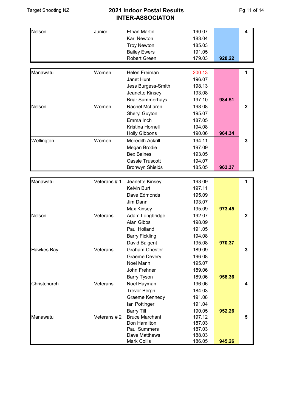| Nelson                   | Junior      | <b>Ethan Martin</b>                  | 190.07           |        | 4              |
|--------------------------|-------------|--------------------------------------|------------------|--------|----------------|
|                          |             | Karl Newton                          | 183.04           |        |                |
|                          |             | <b>Troy Newton</b>                   | 185.03           |        |                |
|                          |             | <b>Bailey Ewers</b>                  | 191.05           |        |                |
|                          |             | Robert Green                         | 179.03           | 928.22 |                |
|                          |             |                                      |                  |        |                |
| Manawatu                 | Women       | Helen Freiman                        | 200.13           |        | 1              |
|                          |             | Janet Hunt                           | 196.07           |        |                |
|                          |             | Jess Burgess-Smith                   | 198.13           |        |                |
|                          |             | Jeanette Kinsey                      | 193.08           |        |                |
|                          |             | <b>Briar Summerhays</b>              | 197.10           | 984.51 |                |
| Nelson                   | Women       | Rachel McLaren                       | 198.08           |        | $\overline{2}$ |
|                          |             | Sheryl Guyton                        | 195.07           |        |                |
|                          |             | Emma Inch                            | 187.05           |        |                |
|                          |             | Kristina Hornell                     | 194.08           |        |                |
|                          |             | <b>Holly Gibbons</b>                 | 190.06           | 964.34 |                |
| Wellington               | Women       | <b>Meredith Ackrill</b>              | 194.11           |        | 3              |
|                          |             | Megan Brodie                         | 197.09           |        |                |
|                          |             | <b>Bex Baines</b>                    | 193.05           |        |                |
|                          |             | <b>Cassie Truscott</b>               | 194.07           |        |                |
|                          |             | <b>Bronwyn Shields</b>               | 185.05           | 963.37 |                |
|                          |             |                                      |                  |        |                |
| Manawatu                 | Veterans #1 | Jeanette Kinsey                      | 193.09           |        | 1              |
|                          |             | <b>Kelvin Burt</b>                   | 197.11           |        |                |
|                          |             | Dave Edmonds                         | 195.09           |        |                |
|                          |             | Jim Dann                             | 193.07           |        |                |
|                          |             | Max Kinsey                           | 195.09           | 973.45 |                |
| Nelson                   | Veterans    | Adam Longbridge                      | 192.07           |        | $\overline{2}$ |
|                          |             | Alan Gibbs                           | 198.09           |        |                |
|                          |             | Paul Holland                         | 191.05           |        |                |
|                          |             | <b>Barry Fickling</b>                | 194.08           |        |                |
|                          |             | David Baigent                        | 195.08           | 970.37 |                |
| <b>Hawkes Bay</b>        | Veterans    | <b>Graham Chester</b>                | 189.09           |        | 3              |
|                          |             | <b>Graeme Devery</b>                 | 196.08           |        |                |
|                          |             | Noel Mann                            | 195.07           |        |                |
|                          |             |                                      |                  |        |                |
|                          |             | John Frehner                         | 189.06           |        |                |
|                          |             | <b>Barry Tyson</b>                   | 189.06           | 958.36 |                |
|                          | Veterans    | Noel Hayman                          | 196.06           |        | 4              |
|                          |             | <b>Trevor Bergh</b>                  | 184.03           |        |                |
|                          |             | Graeme Kennedy                       | 191.08           |        |                |
|                          |             | lan Pottinger                        | 191.04           |        |                |
|                          |             | <b>Barry Till</b>                    | 190.05           | 952.26 |                |
|                          | Veterans #2 | <b>Bruce Marchant</b>                | 197.12           |        | 5              |
|                          |             | Don Hamilton                         | 187.03           |        |                |
| Christchurch<br>Manawatu |             | <b>Paul Summers</b><br>Dave Matthews | 187.03<br>188.03 |        |                |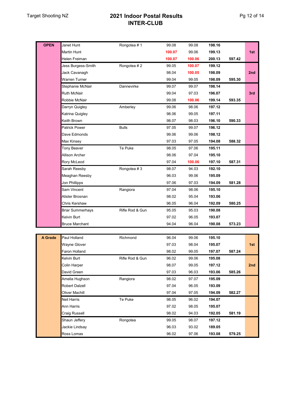## Target Shooting NZ **2021 Indoor Postal Results INTER-CLUB**

| <b>OPEN</b> | Janet Hunt              | Rongotea #1     | 99.08  | 99.08  | 198.16 |        |     |
|-------------|-------------------------|-----------------|--------|--------|--------|--------|-----|
|             | Martin Hunt             |                 | 100.07 | 99.06  | 199.13 |        | 1st |
|             | Helen Freiman           |                 | 100.07 | 100.06 | 200.13 | 597.42 |     |
|             | Jess Burgess-Smith      | Rongotea #2     | 99.05  | 100.07 | 199.12 |        |     |
|             | Jack Cavanagh           |                 | 98.04  | 100.05 | 198.09 |        | 2nd |
|             | Warren Turner           |                 | 99.04  | 99.05  | 198.09 | 595.30 |     |
|             | Stephanie McNair        | Dannevirke      | 99.07  | 99.07  | 198.14 |        |     |
|             | <b>Ruth McNair</b>      |                 | 99.04  | 97.03  | 196.07 |        | 3rd |
|             | Robbie McNair           |                 | 99.08  | 100.06 | 199.14 | 593.35 |     |
|             | Darryn Quigley          | Amberley        | 99.06  | 98.06  | 197.12 |        |     |
|             | Katrina Quigley         |                 | 98.06  | 99.05  | 197.11 |        |     |
|             | Keith Brown             |                 | 98.07  | 98.03  | 196.10 | 590.33 |     |
|             | Patrick Power           | <b>Bulls</b>    | 97.05  | 99.07  | 196.12 |        |     |
|             | Dave Edmonds            |                 | 99.06  | 99.06  | 198.12 |        |     |
|             | Max Kinsey              |                 | 97.03  | 97.05  | 194.08 | 588.32 |     |
|             | Tony Beaver             | Te Puke         | 98.05  | 97.06  | 195.11 |        |     |
|             | Allison Archer          |                 | 98.06  | 97.04  | 195.10 |        |     |
|             | Rory McLeod             |                 | 97.04  | 100.06 | 197.10 | 587.31 |     |
|             | Sarah Reesby            | Rongotea #3     | 98.07  | 94.03  | 192.10 |        |     |
|             | Meaghan Reesby          |                 | 96.03  | 99.06  | 195.09 |        |     |
|             | Jon Phillipps           |                 | 97.06  | 97.03  | 194.09 | 581.28 |     |
|             | Sam Vincent             | Rangiora        | 97.04  | 98.06  | 195.10 |        |     |
|             | Alister Brosnan         |                 | 98.02  | 95.04  | 193.06 |        |     |
|             | Chris Kershaw           |                 | 96.05  | 96.04  | 192.09 | 580.25 |     |
|             | <b>Briar Summerhays</b> | Rifle Rod & Gun | 95.05  | 95.03  | 190.08 |        |     |
|             | Kelvin Burt             |                 | 97.02  | 96.05  | 193.07 |        |     |
|             | <b>Bruce Marchant</b>   |                 | 94.04  | 96.04  | 190.08 | 573.23 |     |
|             |                         |                 |        |        |        |        |     |
| A Grade     | Paul Holland            | Richmond        | 96.04  | 99.06  | 195.10 |        |     |
|             | <b>Wayne Glover</b>     |                 | 97.03  | 98.04  | 195.07 |        | 1st |
|             | Faron Holland           |                 | 98.02  | 99.05  | 197.07 | 587.24 |     |
|             | Kelvin Burt             | Rifle Rod & Gun | 96.02  | 99.06  | 195.08 |        |     |
|             | Colin Harper            |                 | 98.07  | 99.05  | 197.12 |        | 2nd |
|             | David Green             |                 | 97.03  | 96.03  | 193.06 | 585.26 |     |
|             | Amelia Hughson          | Rangiora        | 98.02  | 97.07  | 195.09 |        |     |
|             | <b>Robert Dalzell</b>   |                 | 97.04  | 96.05  | 193.09 |        |     |
|             | Oliver Machill          |                 | 97.04  | 97.05  | 194.09 | 582.27 |     |
|             | Neil Harris             | Te Puke         | 98.05  | 96.02  | 194.07 |        |     |
|             | Ann Harris              |                 | 97.02  | 98.05  | 195.07 |        |     |
|             | Craig Russell           |                 | 98.02  | 94.03  | 192.05 | 581.19 |     |
|             | Shaun Jeffery           | Rongotea        | 99.05  | 98.07  | 197.12 |        |     |
|             | Jackie Lindsay          |                 | 96.03  | 93.02  | 189.05 |        |     |
|             | Ross Lomas              |                 | 96.02  | 97.06  | 193.08 | 579.25 |     |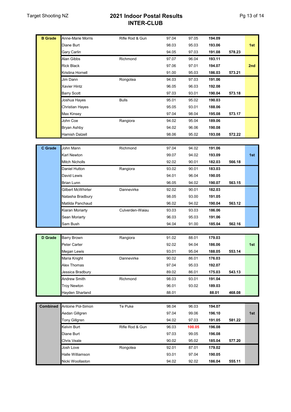### Target Shooting NZ **2021 Indoor Postal Results INTER-CLUB**

| <b>B</b> Grade  | Anne-Marie Morris     | Rifle Rod & Gun | 97.04 | 97.05  | 194.09 |        |     |
|-----------------|-----------------------|-----------------|-------|--------|--------|--------|-----|
|                 | Diane Burt            |                 | 98.03 | 95.03  | 193.06 |        | 1st |
|                 | Gary Carlin           |                 | 94.05 | 97.03  | 191.08 | 578.23 |     |
|                 | Alan Gibbs            | Richmond        | 97.07 | 96.04  | 193.11 |        |     |
|                 | <b>Rick Black</b>     |                 | 97.06 | 97.01  | 194.07 |        | 2nd |
|                 | Kristina Hornell      |                 | 91.00 | 95.03  | 186.03 | 573.21 |     |
|                 | Jim Dann              | Rongotea        | 94.03 | 97.03  | 191.06 |        |     |
|                 | <b>Xavier Hintz</b>   |                 | 96.05 | 96.03  | 192.08 |        |     |
|                 | <b>Barry Scott</b>    |                 | 97.03 | 93.01  | 190.04 | 573.18 |     |
|                 | Joshua Hayes          | <b>Bulls</b>    | 95.01 | 95.02  | 190.03 |        |     |
|                 | Christian Hayes       |                 | 95.05 | 93.01  | 188.06 |        |     |
|                 | Max Kinsey            |                 | 97.04 | 98.04  | 195.08 | 573.17 |     |
|                 | John Coe              | Rangiora        | 94.02 | 95.04  | 189.06 |        |     |
|                 | Bryan Ashby           |                 | 94.02 | 96.06  | 190.08 |        |     |
|                 | Hamish Dalzell        |                 | 98.06 | 95.02  | 193.08 | 572.22 |     |
|                 |                       |                 |       |        |        |        |     |
| C Grade         | John Mann             | Richmond        | 97.04 | 94.02  | 191.06 |        |     |
|                 | Karl Newton           |                 | 99.07 | 94.02  | 193.09 |        | 1st |
|                 | <b>Mitch Nicholls</b> |                 | 92.02 | 90.01  | 182.03 | 566.18 |     |
|                 | Daniel Hutton         | Rangiora        | 93.02 | 90.01  | 183.03 |        |     |
|                 | David Lewis           |                 | 94.01 | 96.04  | 190.05 |        |     |
|                 | <b>Brian Lunn</b>     |                 | 96.05 | 94.02  | 190.07 | 563.15 |     |
|                 | Gilbert McWhirter     | Dannevirke      | 92.02 | 90.01  | 182.03 |        |     |
|                 | Natasha Bradbury      |                 | 98.05 | 93.00  | 191.05 |        |     |
|                 | Matilda Panchaud      |                 | 96.02 | 94.02  | 190.04 | 563.12 |     |
|                 | Kiaran Moriarty       | Culverden-Waiau | 93.03 | 93.03  | 186.06 |        |     |
|                 | Sean Moriarty         |                 | 96.03 | 95.03  | 191.06 |        |     |
|                 | Sam Bush              |                 | 94.04 | 91.00  | 185.04 | 562.16 |     |
|                 |                       |                 |       |        |        |        |     |
| D Grade         | Barry Brown           | Rangiora        | 91.02 | 88.01  | 179.03 |        |     |
|                 | Peter Carter          |                 | 92.02 | 94.04  | 186.06 |        | 1st |
|                 | Megan Lewis           |                 | 93.01 | 95.04  | 188.05 | 553.14 |     |
|                 | Maria Knight          | Dannevirke      | 90.02 | 86.01  | 176.03 |        |     |
|                 | Alex Thomas           |                 | 97.04 | 95.03  | 192.07 |        |     |
|                 | Jessica Bradbury      |                 | 89.02 | 86.01  | 175.03 | 543.13 |     |
|                 | <b>Andrew Smith</b>   | Richmond        | 98.03 | 93.01  | 191.04 |        |     |
|                 | <b>Troy Newton</b>    |                 | 96.01 | 93.02  | 189.03 |        |     |
|                 | Hayden Sharland       |                 | 88.01 |        | 88.01  | 468.08 |     |
|                 |                       |                 |       |        |        |        |     |
| <b>Combined</b> | Antoine Pol-Simon     | Te Puke         | 98.04 | 96.03  | 194.07 |        |     |
|                 | Aedan Gillgren        |                 | 97.04 | 99.06  | 196.10 |        | 1st |
|                 | <b>Tony Gillgren</b>  |                 | 94.02 | 97.03  | 191.05 | 581.22 |     |
|                 | Kelvin Burt           | Rifle Rod & Gun | 96.03 | 100.05 | 196.08 |        |     |
|                 | Diane Burt            |                 | 97.03 | 99.05  | 196.08 |        |     |
|                 | Chris Veale           |                 | 90.02 | 95.02  | 185.04 | 577.20 |     |
|                 | Josh Love             | Rongotea        | 92.01 | 87.01  | 179.02 |        |     |
|                 | Halle Williamson      |                 | 93.01 | 97.04  | 190.05 |        |     |
|                 | Nicki Woollaston      |                 | 94.02 | 92.02  | 186.04 | 555.11 |     |